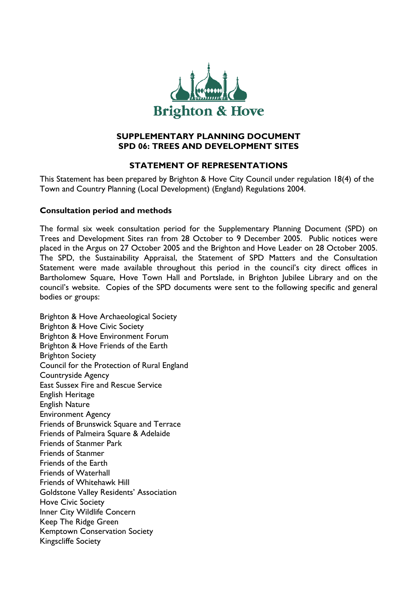

## **SUPPLEMENTARY PLANNING DOCUMENT SPD 06: TREES AND DEVELOPMENT SITES**

# **STATEMENT OF REPRESENTATIONS**

This Statement has been prepared by Brighton & Hove City Council under regulation 18(4) of the Town and Country Planning (Local Development) (England) Regulations 2004.

## **Consultation period and methods**

The formal six week consultation period for the Supplementary Planning Document (SPD) on Trees and Development Sites ran from 28 October to 9 December 2005. Public notices were placed in the Argus on 27 October 2005 and the Brighton and Hove Leader on 28 October 2005. The SPD, the Sustainability Appraisal, the Statement of SPD Matters and the Consultation Statement were made available throughout this period in the council's city direct offices in Bartholomew Square, Hove Town Hall and Portslade, in Brighton Jubilee Library and on the council's website. Copies of the SPD documents were sent to the following specific and general bodies or groups:

Brighton & Hove Archaeological Society Brighton & Hove Civic Society Brighton & Hove Environment Forum Brighton & Hove Friends of the Earth Brighton Society Council for the Protection of Rural England Countryside Agency East Sussex Fire and Rescue Service English Heritage English Nature Environment Agency Friends of Brunswick Square and Terrace Friends of Palmeira Square & Adelaide Friends of Stanmer Park Friends of Stanmer Friends of the Earth Friends of Waterhall Friends of Whitehawk Hill Goldstone Valley Residents' Association Hove Civic Society Inner City Wildlife Concern Keep The Ridge Green Kemptown Conservation Society Kingscliffe Society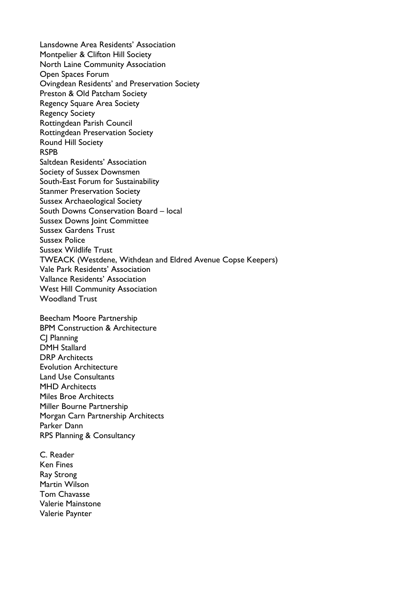Lansdowne Area Residents' Association Montpelier & Clifton Hill Society North Laine Community Association Open Spaces Forum Ovingdean Residents' and Preservation Society Preston & Old Patcham Society Regency Square Area Society Regency Society Rottingdean Parish Council Rottingdean Preservation Society Round Hill Society RSPB Saltdean Residents' Association Society of Sussex Downsmen South-East Forum for Sustainability Stanmer Preservation Society Sussex Archaeological Society South Downs Conservation Board – local Sussex Downs Joint Committee Sussex Gardens Trust Sussex Police Sussex Wildlife Trust TWEACK (Westdene, Withdean and Eldred Avenue Copse Keepers) Vale Park Residents' Association Vallance Residents' Association West Hill Community Association Woodland Trust

Beecham Moore Partnership BPM Construction & Architecture CJ Planning DMH Stallard DRP Architects Evolution Architecture Land Use Consultants MHD Architects Miles Broe Architects Miller Bourne Partnership Morgan Carn Partnership Architects Parker Dann RPS Planning & Consultancy

C. Reader Ken Fines Ray Strong Martin Wilson Tom Chavasse Valerie Mainstone Valerie Paynter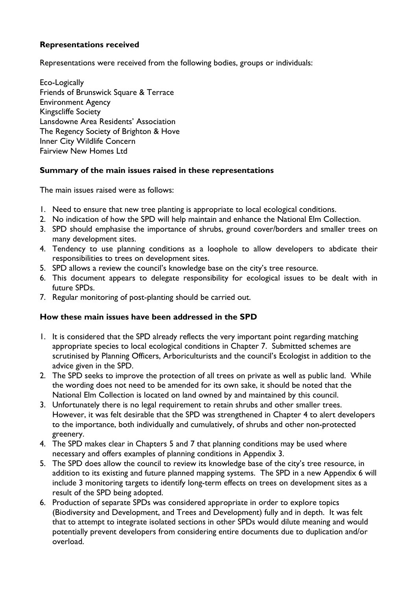## **Representations received**

Representations were received from the following bodies, groups or individuals:

Eco-Logically Friends of Brunswick Square & Terrace Environment Agency Kingscliffe Society Lansdowne Area Residents' Association The Regency Society of Brighton & Hove Inner City Wildlife Concern Fairview New Homes Ltd

## **Summary of the main issues raised in these representations**

The main issues raised were as follows:

- 1. Need to ensure that new tree planting is appropriate to local ecological conditions.
- 2. No indication of how the SPD will help maintain and enhance the National Elm Collection.
- 3. SPD should emphasise the importance of shrubs, ground cover/borders and smaller trees on many development sites.
- 4. Tendency to use planning conditions as a loophole to allow developers to abdicate their responsibilities to trees on development sites.
- 5. SPD allows a review the council's knowledge base on the city's tree resource.
- 6. This document appears to delegate responsibility for ecological issues to be dealt with in future SPDs.
- 7. Regular monitoring of post-planting should be carried out.

## **How these main issues have been addressed in the SPD**

- 1. It is considered that the SPD already reflects the very important point regarding matching appropriate species to local ecological conditions in Chapter 7. Submitted schemes are scrutinised by Planning Officers, Arboriculturists and the council's Ecologist in addition to the advice given in the SPD.
- 2. The SPD seeks to improve the protection of all trees on private as well as public land. While the wording does not need to be amended for its own sake, it should be noted that the National Elm Collection is located on land owned by and maintained by this council.
- 3. Unfortunately there is no legal requirement to retain shrubs and other smaller trees. However, it was felt desirable that the SPD was strengthened in Chapter 4 to alert developers to the importance, both individually and cumulatively, of shrubs and other non-protected greenery.
- 4. The SPD makes clear in Chapters 5 and 7 that planning conditions may be used where necessary and offers examples of planning conditions in Appendix 3.
- 5. The SPD does allow the council to review its knowledge base of the city's tree resource, in addition to its existing and future planned mapping systems. The SPD in a new Appendix 6 will include 3 monitoring targets to identify long-term effects on trees on development sites as a result of the SPD being adopted.
- 6. Production of separate SPDs was considered appropriate in order to explore topics (Biodiversity and Development, and Trees and Development) fully and in depth. It was felt that to attempt to integrate isolated sections in other SPDs would dilute meaning and would potentially prevent developers from considering entire documents due to duplication and/or overload.